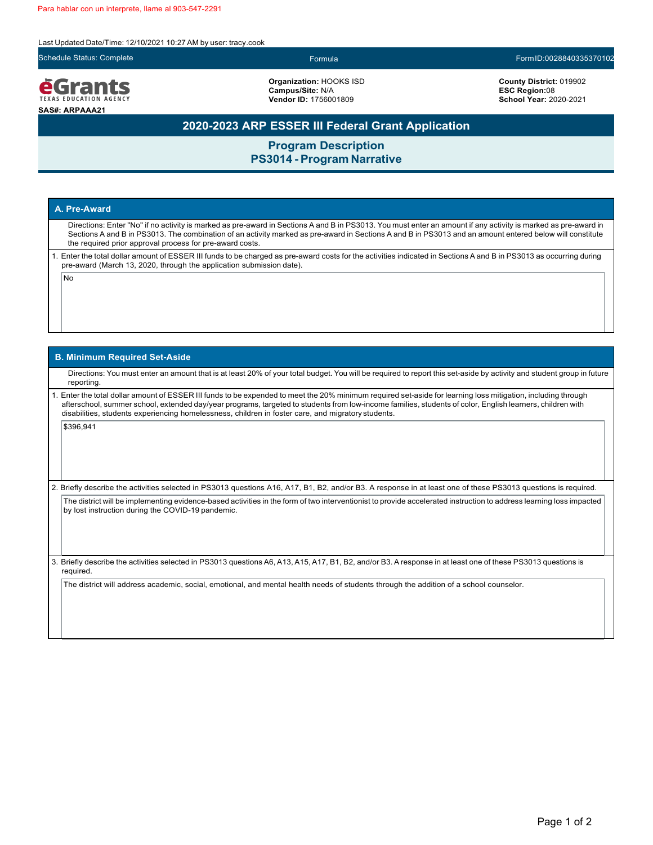Last Updated Date/Time: 12/10/2021 10:27AM by user: tracy.cook



eGrants **TEXAS EDUCATION AGENCY SAS#: ARPAAA21**

**Organization:** HOOKS ISD **Campus/Site:** N/A **Vendor ID:** 1756001809

Schedule Status: Complete Formula FormID:0028840335370102

**County District:** 019902 **ESC Region:**08 **School Year:** 2020-2021

# **2020-2023 ARP ESSER III Federal Grant Application**

**Program Description PS3014 - Program Narrative**

### **A. Pre-Award**

Directions: Enter "No" if no activity is marked as pre-award in Sections A and B in PS3013. You must enter an amount if any activity is marked as pre-award in Sections A and B in PS3013. The combination of an activity marked as pre-award in Sections A and B in PS3013 and an amount entered below will constitute the required prior approval process for pre-award costs.

1. Enter the total dollar amount of ESSER III funds to be charged as pre-award costs for the activities indicated in Sections A and B in PS3013 as occurring during pre-award (March 13, 2020, through the application submission date).

No

#### **B. Minimum Required Set-Aside**

Directions: You must enter an amount that is at least 20% of your total budget. You will be required to report this set-aside by activity and student group in future reporting.

1. Enter the total dollar amount of ESSER III funds to be expended to meet the 20% minimum required set-aside for learning loss mitigation, including through afterschool, summer school, extended day/year programs, targeted to students from low-income families, students of color, English learners, children with disabilities, students experiencing homelessness, children in foster care, and migratory students.

\$396,941

2. Briefly describe the activities selected in PS3013 questions A16, A17, B1, B2, and/or B3. A response in at least one of these PS3013 questions is required.

The district will be implementing evidence-based activities in the form of two interventionist to provide accelerated instruction to address learning loss impacted by lost instruction during the COVID-19 pandemic.

3. Briefly describe the activities selected in PS3013 questions A6, A13, A15, A17, B1, B2, and/or B3. A response in at least one of these PS3013 questions is required.

The district will address academic, social, emotional, and mental health needs of students through the addition of a school counselor.